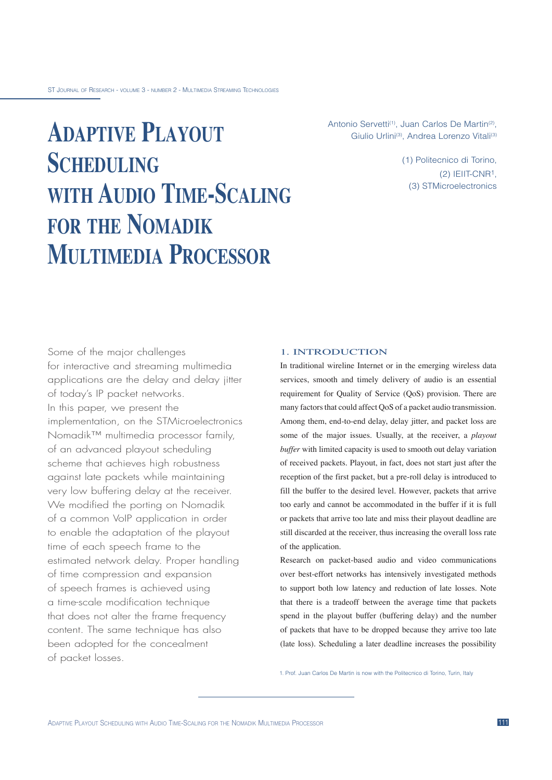# **ADAPTIVE PLAYOUT SCHEDULING WITH AUDIO TIME-SCALING FOR THE NOMADIK MULTIMEDIA PROCESSOR**

Antonio Servetti<sup>(1)</sup>, Juan Carlos De Martin<sup>(2)</sup>, Giulio Urlini<sup>(3)</sup>, Andrea Lorenzo Vitali<sup>(3)</sup>

> (1) Politecnico di Torino, (2) IEIIT-CNR1, (3) STMicroelectronics

Some of the major challenges for interactive and streaming multimedia applications are the delay and delay jitter of today's IP packet networks. In this paper, we present the implementation, on the STMicroelectronics Nomadik<sup>™</sup> multimedia processor family, of an advanced playout scheduling scheme that achieves high robustness against late packets while maintaining very low buffering delay at the receiver. We modified the porting on Nomadik of a common VoIP application in order to enable the adaptation of the playout time of each speech frame to the estimated network delay. Proper handling of time compression and expansion of speech frames is achieved using a time-scale modification technique that does not alter the frame frequency content. The same technique has also been adopted for the concealment of packet losses.

### 1. INTRODUCTION

In traditional wireline Internet or in the emerging wireless data services, smooth and timely delivery of audio is an essential requirement for Quality of Service (QoS) provision. There are many factors that could affect QoS of a packet audio transmission. Among them, end-to-end delay, delay jitter, and packet loss are some of the major issues. Usually, at the receiver, a *playout buffer* with limited capacity is used to smooth out delay variation of received packets. Playout, in fact, does not start just after the reception of the first packet, but a pre-roll delay is introduced to fill the buffer to the desired level. However, packets that arrive too early and cannot be accommodated in the buffer if it is full or packets that arrive too late and miss their playout deadline are still discarded at the receiver, thus increasing the overall loss rate of the application.

Research on packet-based audio and video communications over best-effort networks has intensively investigated methods to support both low latency and reduction of late losses. Note that there is a tradeoff between the average time that packets spend in the playout buffer (buffering delay) and the number of packets that have to be dropped because they arrive too late (late loss). Scheduling a later deadline increases the possibility

1. Prof. Juan Carlos De Martin is now with the Politecnico di Torino, Turin, Italy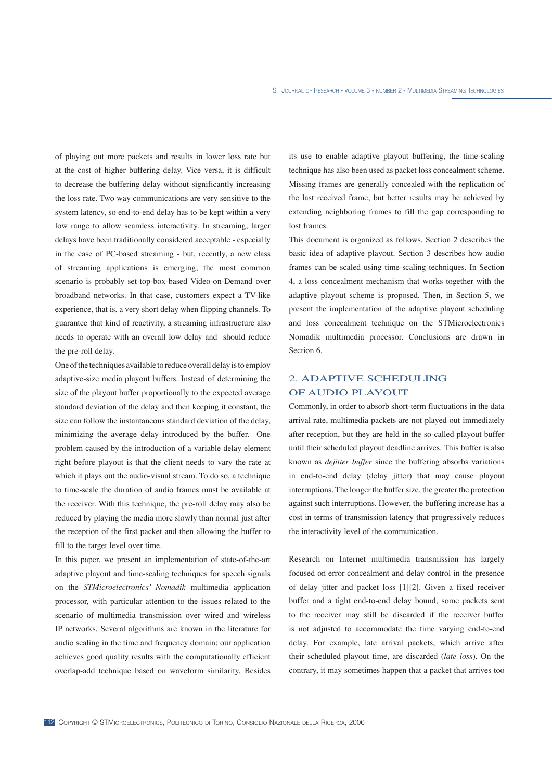of playing out more packets and results in lower loss rate but at the cost of higher buffering delay. Vice versa, it is difficult to decrease the buffering delay without significantly increasing the loss rate. Two way communications are very sensitive to the system latency, so end-to-end delay has to be kept within a very low range to allow seamless interactivity. In streaming, larger delays have been traditionally considered acceptable - especially in the case of PC-based streaming - but, recently, a new class of streaming applications is emerging; the most common scenario is probably set-top-box-based Video-on-Demand over broadband networks. In that case, customers expect a TV-like experience, that is, a very short delay when flipping channels. To guarantee that kind of reactivity, a streaming infrastructure also needs to operate with an overall low delay and should reduce the pre-roll delay.

One of the techniques available to reduce overall delay is to employ adaptive-size media playout buffers. Instead of determining the size of the playout buffer proportionally to the expected average standard deviation of the delay and then keeping it constant, the size can follow the instantaneous standard deviation of the delay, minimizing the average delay introduced by the buffer. One problem caused by the introduction of a variable delay element right before playout is that the client needs to vary the rate at which it plays out the audio-visual stream. To do so, a technique to time-scale the duration of audio frames must be available at the receiver. With this technique, the pre-roll delay may also be reduced by playing the media more slowly than normal just after the reception of the first packet and then allowing the buffer to fill to the target level over time.

In this paper, we present an implementation of state-of-the-art adaptive playout and time-scaling techniques for speech signals on the *STMicroelectronics' Nomadik* multimedia application processor, with particular attention to the issues related to the scenario of multimedia transmission over wired and wireless IP networks. Several algorithms are known in the literature for audio scaling in the time and frequency domain; our application achieves good quality results with the computationally efficient overlap-add technique based on waveform similarity. Besides

its use to enable adaptive playout buffering, the time-scaling technique has also been used as packet loss concealment scheme. Missing frames are generally concealed with the replication of the last received frame, but better results may be achieved by extending neighboring frames to fill the gap corresponding to lost frames.

This document is organized as follows. Section 2 describes the basic idea of adaptive playout. Section 3 describes how audio frames can be scaled using time-scaling techniques. In Section 4, a loss concealment mechanism that works together with the adaptive playout scheme is proposed. Then, in Section 5, we present the implementation of the adaptive playout scheduling and loss concealment technique on the STMicroelectronics Nomadik multimedia processor. Conclusions are drawn in Section 6.

## 2. ADAPTIVE SCHEDULING OF AUDIO PLAYOUT

Commonly, in order to absorb short-term fluctuations in the data arrival rate, multimedia packets are not played out immediately after reception, but they are held in the so-called playout buffer until their scheduled playout deadline arrives. This buffer is also known as *dejitter buffer* since the buffering absorbs variations in end-to-end delay (delay jitter) that may cause playout interruptions. The longer the buffer size, the greater the protection against such interruptions. However, the buffering increase has a cost in terms of transmission latency that progressively reduces the interactivity level of the communication.

Research on Internet multimedia transmission has largely focused on error concealment and delay control in the presence of delay jitter and packet loss [1][2]. Given a fixed receiver buffer and a tight end-to-end delay bound, some packets sent to the receiver may still be discarded if the receiver buffer is not adjusted to accommodate the time varying end-to-end delay. For example, late arrival packets, which arrive after their scheduled playout time, are discarded (*late loss*). On the contrary, it may sometimes happen that a packet that arrives too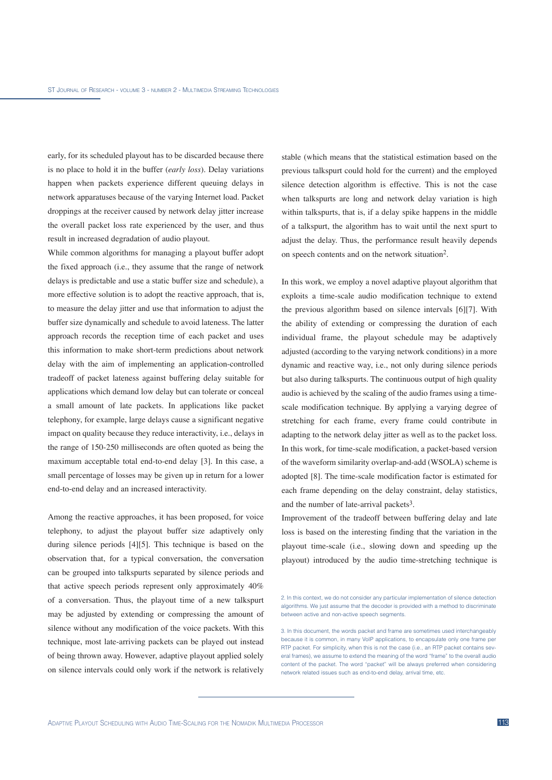early, for its scheduled playout has to be discarded because there is no place to hold it in the buffer (*early loss*). Delay variations happen when packets experience different queuing delays in network apparatuses because of the varying Internet load. Packet droppings at the receiver caused by network delay jitter increase the overall packet loss rate experienced by the user, and thus result in increased degradation of audio playout.

While common algorithms for managing a playout buffer adopt the fixed approach (i.e., they assume that the range of network delays is predictable and use a static buffer size and schedule), a more effective solution is to adopt the reactive approach, that is, to measure the delay jitter and use that information to adjust the buffer size dynamically and schedule to avoid lateness. The latter approach records the reception time of each packet and uses this information to make short-term predictions about network delay with the aim of implementing an application-controlled tradeoff of packet lateness against buffering delay suitable for applications which demand low delay but can tolerate or conceal a small amount of late packets. In applications like packet telephony, for example, large delays cause a significant negative impact on quality because they reduce interactivity, i.e., delays in the range of 150-250 milliseconds are often quoted as being the maximum acceptable total end-to-end delay [3]. In this case, a small percentage of losses may be given up in return for a lower end-to-end delay and an increased interactivity.

Among the reactive approaches, it has been proposed, for voice telephony, to adjust the playout buffer size adaptively only during silence periods [4][5]. This technique is based on the observation that, for a typical conversation, the conversation can be grouped into talkspurts separated by silence periods and that active speech periods represent only approximately 40% of a conversation. Thus, the playout time of a new talkspurt may be adjusted by extending or compressing the amount of silence without any modification of the voice packets. With this technique, most late-arriving packets can be played out instead of being thrown away. However, adaptive playout applied solely on silence intervals could only work if the network is relatively

stable (which means that the statistical estimation based on the previous talkspurt could hold for the current) and the employed silence detection algorithm is effective. This is not the case when talkspurts are long and network delay variation is high within talkspurts, that is, if a delay spike happens in the middle of a talkspurt, the algorithm has to wait until the next spurt to adjust the delay. Thus, the performance result heavily depends on speech contents and on the network situation2.

In this work, we employ a novel adaptive playout algorithm that exploits a time-scale audio modification technique to extend the previous algorithm based on silence intervals [6][7]. With the ability of extending or compressing the duration of each individual frame, the playout schedule may be adaptively adjusted (according to the varying network conditions) in a more dynamic and reactive way, i.e., not only during silence periods but also during talkspurts. The continuous output of high quality audio is achieved by the scaling of the audio frames using a timescale modification technique. By applying a varying degree of stretching for each frame, every frame could contribute in adapting to the network delay jitter as well as to the packet loss. In this work, for time-scale modification, a packet-based version of the waveform similarity overlap-and-add (WSOLA) scheme is adopted [8]. The time-scale modification factor is estimated for each frame depending on the delay constraint, delay statistics, and the number of late-arrival packets3.

Improvement of the tradeoff between buffering delay and late loss is based on the interesting finding that the variation in the playout time-scale (i.e., slowing down and speeding up the playout) introduced by the audio time-stretching technique is

3. In this document, the words packet and frame are sometimes used interchangeably because it is common, in many VoIP applications, to encapsulate only one frame per RTP packet. For simplicity, when this is not the case (i.e., an RTP packet contains several frames), we assume to extend the meaning of the word "frame" to the overall audio content of the packet. The word "packet" will be always preferred when considering network related issues such as end-to-end delay, arrival time, etc.

<sup>2.</sup> In this context, we do not consider any particular implementation of silence detection algorithms. We just assume that the decoder is provided with a method to discriminate between active and non-active speech segments.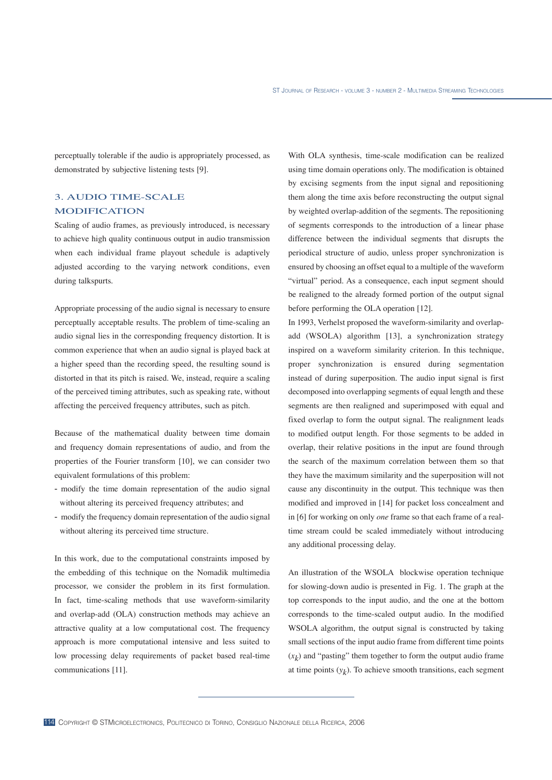perceptually tolerable if the audio is appropriately processed, as demonstrated by subjective listening tests [9].

# 3. AUDIO TIME-SCALE MODIFICATION

Scaling of audio frames, as previously introduced, is necessary to achieve high quality continuous output in audio transmission when each individual frame playout schedule is adaptively adjusted according to the varying network conditions, even during talkspurts.

Appropriate processing of the audio signal is necessary to ensure perceptually acceptable results. The problem of time-scaling an audio signal lies in the corresponding frequency distortion. It is common experience that when an audio signal is played back at a higher speed than the recording speed, the resulting sound is distorted in that its pitch is raised. We, instead, require a scaling of the perceived timing attributes, such as speaking rate, without affecting the perceived frequency attributes, such as pitch.

Because of the mathematical duality between time domain and frequency domain representations of audio, and from the properties of the Fourier transform [10], we can consider two equivalent formulations of this problem:

- modify the time domain representation of the audio signal without altering its perceived frequency attributes; and
- modify the frequency domain representation of the audio signal without altering its perceived time structure.

In this work, due to the computational constraints imposed by the embedding of this technique on the Nomadik multimedia processor, we consider the problem in its first formulation. In fact, time-scaling methods that use waveform-similarity and overlap-add (OLA) construction methods may achieve an attractive quality at a low computational cost. The frequency approach is more computational intensive and less suited to low processing delay requirements of packet based real-time communications [11].

With OLA synthesis, time-scale modification can be realized using time domain operations only. The modification is obtained by excising segments from the input signal and repositioning them along the time axis before reconstructing the output signal by weighted overlap-addition of the segments. The repositioning of segments corresponds to the introduction of a linear phase difference between the individual segments that disrupts the periodical structure of audio, unless proper synchronization is ensured by choosing an offset equal to a multiple of the waveform "virtual" period. As a consequence, each input segment should be realigned to the already formed portion of the output signal before performing the OLA operation [12].

In 1993, Verhelst proposed the waveform-similarity and overlapadd (WSOLA) algorithm [13], a synchronization strategy inspired on a waveform similarity criterion. In this technique, proper synchronization is ensured during segmentation instead of during superposition. The audio input signal is first decomposed into overlapping segments of equal length and these segments are then realigned and superimposed with equal and fixed overlap to form the output signal. The realignment leads to modified output length. For those segments to be added in overlap, their relative positions in the input are found through the search of the maximum correlation between them so that they have the maximum similarity and the superposition will not cause any discontinuity in the output. This technique was then modified and improved in [14] for packet loss concealment and in [6] for working on only *one* frame so that each frame of a realtime stream could be scaled immediately without introducing any additional processing delay.

An illustration of the WSOLA blockwise operation technique for slowing-down audio is presented in Fig. 1. The graph at the top corresponds to the input audio, and the one at the bottom corresponds to the time-scaled output audio. In the modified WSOLA algorithm, the output signal is constructed by taking small sections of the input audio frame from different time points  $(x<sub>k</sub>)$  and "pasting" them together to form the output audio frame at time points  $(y_k)$ . To achieve smooth transitions, each segment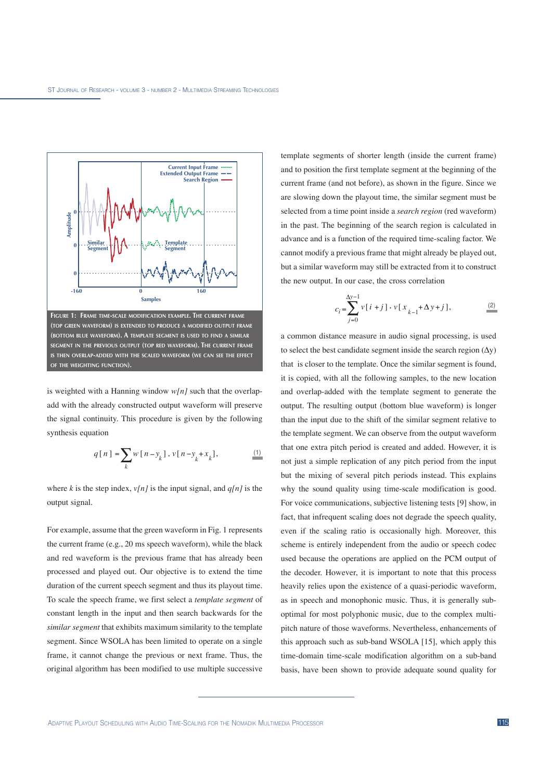

is weighted with a Hanning window  $w[n]$  such that the overlapadd with the already constructed output waveform will preserve the signal continuity. This procedure is given by the following synthesis equation

$$
q[n] = \sum_{k} w[n - y_k]. \, v[n - y_k + x_k], \tag{1}
$$

where *k* is the step index,  $v[n]$  is the input signal, and  $q[n]$  is the output signal.

For example, assume that the green waveform in Fig. 1 represents the current frame (e.g., 20 ms speech waveform), while the black and red waveform is the previous frame that has already been processed and played out. Our objective is to extend the time duration of the current speech segment and thus its playout time. To scale the speech frame, we first select a *template segment* of constant length in the input and then search backwards for the *similar segment* that exhibits maximum similarity to the template segment. Since WSOLA has been limited to operate on a single frame, it cannot change the previous or next frame. Thus, the original algorithm has been modified to use multiple successive

template segments of shorter length (inside the current frame) and to position the first template segment at the beginning of the current frame (and not before), as shown in the figure. Since we are slowing down the playout time, the similar segment must be selected from a time point inside a *search region* (red waveform) in the past. The beginning of the search region is calculated in advance and is a function of the required time-scaling factor. We cannot modify a previous frame that might already be played out, but a similar waveform may still be extracted from it to construct the new output. In our case, the cross correlation

$$
c_i = \sum_{j=0}^{\Delta y - 1} v[i + j] \cdot v[x_{k-1} + \Delta y + j],
$$
 (2)

a common distance measure in audio signal processing, is used to select the best candidate segment inside the search region  $(\Delta y)$ that is closer to the template. Once the similar segment is found, it is copied, with all the following samples, to the new location and overlap-added with the template segment to generate the output. The resulting output (bottom blue waveform) is longer than the input due to the shift of the similar segment relative to the template segment. We can observe from the output waveform that one extra pitch period is created and added. However, it is not just a simple replication of any pitch period from the input but the mixing of several pitch periods instead. This explains why the sound quality using time-scale modification is good. For voice communications, subjective listening tests [9] show, in fact, that infrequent scaling does not degrade the speech quality, even if the scaling ratio is occasionally high. Moreover, this scheme is entirely independent from the audio or speech codec used because the operations are applied on the PCM output of the decoder. However, it is important to note that this process heavily relies upon the existence of a quasi-periodic waveform, as in speech and monophonic music. Thus, it is generally suboptimal for most polyphonic music, due to the complex multipitch nature of those waveforms. Nevertheless, enhancements of this approach such as sub-band WSOLA [15], which apply this time-domain time-scale modification algorithm on a sub-band basis, have been shown to provide adequate sound quality for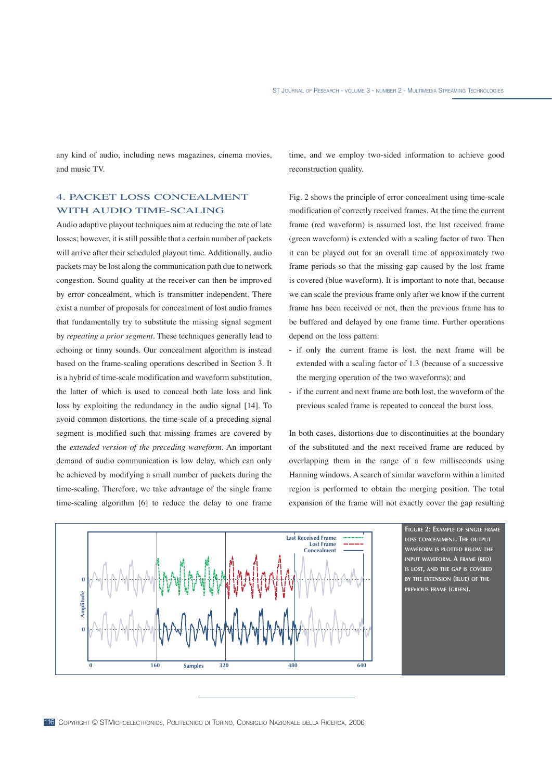any kind of audio, including news magazines, cinema movies, and music TV.

# 4. PACKET LOSS CONCEALMENT WITH AUDIO TIME-SCALING

Audio adaptive playout techniques aim at reducing the rate of late losses; however, it is still possible that a certain number of packets will arrive after their scheduled playout time. Additionally, audio packets may be lost along the communication path due to network congestion. Sound quality at the receiver can then be improved by error concealment, which is transmitter independent. There exist a number of proposals for concealment of lost audio frames that fundamentally try to substitute the missing signal segment by *repeating a prior segment*. These techniques generally lead to echoing or tinny sounds. Our concealment algorithm is instead based on the frame-scaling operations described in Section 3. It is a hybrid of time-scale modification and waveform substitution, the latter of which is used to conceal both late loss and link loss by exploiting the redundancy in the audio signal [14]. To avoid common distortions, the time-scale of a preceding signal segment is modified such that missing frames are covered by the *extended version of the preceding waveform*. An important demand of audio communication is low delay, which can only be achieved by modifying a small number of packets during the time-scaling. Therefore, we take advantage of the single frame time-scaling algorithm [6] to reduce the delay to one frame time, and we employ two-sided information to achieve good reconstruction quality.

Fig. 2 shows the principle of error concealment using time-scale modification of correctly received frames. At the time the current frame (red waveform) is assumed lost, the last received frame (green waveform) is extended with a scaling factor of two. Then it can be played out for an overall time of approximately two frame periods so that the missing gap caused by the lost frame is covered (blue waveform). It is important to note that, because we can scale the previous frame only after we know if the current frame has been received or not, then the previous frame has to be buffered and delayed by one frame time. Further operations depend on the loss pattern:

- if only the current frame is lost, the next frame will be extended with a scaling factor of 1.3 (because of a successive the merging operation of the two waveforms); and
- if the current and next frame are both lost, the waveform of the previous scaled frame is repeated to conceal the burst loss.

In both cases, distortions due to discontinuities at the boundary of the substituted and the next received frame are reduced by overlapping them in the range of a few milliseconds using Hanning windows. A search of similar waveform within a limited region is performed to obtain the merging position. The total expansion of the frame will not exactly cover the gap resulting



**FIGURE 2: EXAMPLE OF SINGLE FRAME LOSS CONCEALMENT. THE OUTPUT WAVEFORM IS PLOTTED BELOW THE INPUT WAVEFORM. A FRAME (RED) IS LOST, AND THE GAP IS COVERED BY THE EXTENSION (BLUE) OF THE PREVIOUS FRAME (GREEN).**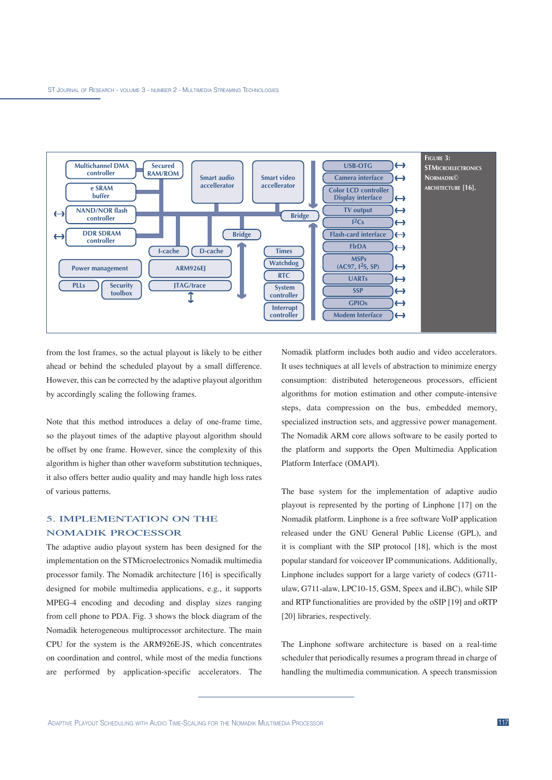

from the lost frames, so the actual playout is likely to be either ahead or behind the scheduled playout by a small difference. However, this can be corrected by the adaptive playout algorithm by accordingly scaling the following frames.

Note that this method introduces a delay of one-frame time, so the playout times of the adaptive playout algorithm should be offset by one frame. However, since the complexity of this algorithm is higher than other waveform substitution techniques, it also offers better audio quality and may handle high loss rates of various patterns.

## 5. IMPLEMENTATION ON THE NOMADIK PROCESSOR

The adaptive audio playout system has been designed for the implementation on the STMicroelectronics Nomadik multimedia processor family. The Nomadik architecture [16] is specifically designed for mobile multimedia applications, e.g., it supports MPEG-4 encoding and decoding and display sizes ranging from cell phone to PDA. Fig. 3 shows the block diagram of the Nomadik heterogeneous multiprocessor architecture. The main CPU for the system is the ARM926E-JS, which concentrates on coordination and control, while most of the media functions are performed by application-specific accelerators. The Nomadik platform includes both audio and video accelerators. It uses techniques at all levels of abstraction to minimize energy consumption: distributed heterogeneous processors, efficient algorithms for motion estimation and other compute-intensive steps, data compression on the bus, embedded memory, specialized instruction sets, and aggressive power management. The Nomadik ARM core allows software to be easily ported to the platform and supports the Open Multimedia Application Platform Interface (OMAPI).

The base system for the implementation of adaptive audio playout is represented by the porting of Linphone [17] on the Nomadik platform. Linphone is a free software VoIP application released under the GNU General Public License (GPL), and it is compliant with the SIP protocol [18], which is the most popular standard for voiceover IP communications. Additionally, Linphone includes support for a large variety of codecs (G711 ulaw, G711-alaw, LPC10-15, GSM, Speex and iLBC), while SIP and RTP functionalities are provided by the oSIP [19] and oRTP [20] libraries, respectively.

The Linphone software architecture is based on a real-time scheduler that periodically resumes a program thread in charge of handling the multimedia communication. A speech transmission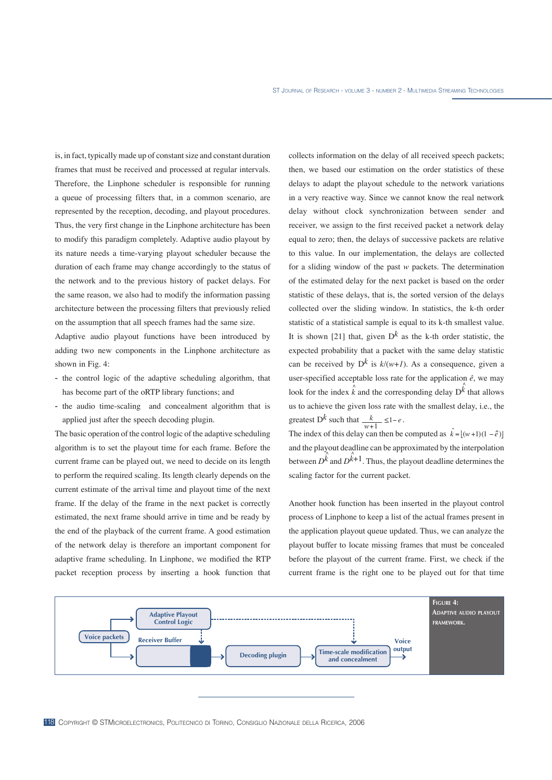is, in fact, typically made up of constant size and constant duration frames that must be received and processed at regular intervals. Therefore, the Linphone scheduler is responsible for running a queue of processing filters that, in a common scenario, are represented by the reception, decoding, and playout procedures. Thus, the very first change in the Linphone architecture has been to modify this paradigm completely. Adaptive audio playout by its nature needs a time-varying playout scheduler because the duration of each frame may change accordingly to the status of the network and to the previous history of packet delays. For the same reason, we also had to modify the information passing architecture between the processing filters that previously relied on the assumption that all speech frames had the same size.

Adaptive audio playout functions have been introduced by adding two new components in the Linphone architecture as shown in Fig. 4:

- the control logic of the adaptive scheduling algorithm, that has become part of the oRTP library functions; and
- the audio time-scaling and concealment algorithm that is applied just after the speech decoding plugin.

The basic operation of the control logic of the adaptive scheduling algorithm is to set the playout time for each frame. Before the current frame can be played out, we need to decide on its length to perform the required scaling. Its length clearly depends on the current estimate of the arrival time and playout time of the next frame. If the delay of the frame in the next packet is correctly estimated, the next frame should arrive in time and be ready by the end of the playback of the current frame. A good estimation of the network delay is therefore an important component for adaptive frame scheduling. In Linphone, we modified the RTP packet reception process by inserting a hook function that collects information on the delay of all received speech packets; then, we based our estimation on the order statistics of these delays to adapt the playout schedule to the network variations in a very reactive way. Since we cannot know the real network delay without clock synchronization between sender and receiver, we assign to the first received packet a network delay equal to zero; then, the delays of successive packets are relative to this value. In our implementation, the delays are collected for a sliding window of the past *w* packets. The determination of the estimated delay for the next packet is based on the order statistic of these delays, that is, the sorted version of the delays collected over the sliding window. In statistics, the k-th order statistic of a statistical sample is equal to its k-th smallest value. It is shown [21] that, given  $D^k$  as the k-th order statistic, the expected probability that a packet with the same delay statistic can be received by  $D^k$  is  $k/(w+1)$ . As a consequence, given a user-specified acceptable loss rate for the application *ê*, we may look for the index  $\vec{k}$  and the corresponding delay  $D^{\hat{k}}$  that allows us to achieve the given loss rate with the smallest delay, i.e., the greatest  $D^k$  such that  $\frac{k}{w+1} \leq 1-e$ .

The index of this delay can then be computed as  $\hat{k} = [(w+1)(1-\hat{e})]$ and the playout deadline can be approximated by the interpolation between  $D^{\hat{k}}$  and  $D^{\hat{k}+1}$ . Thus, the playout deadline determines the scaling factor for the current packet.

Another hook function has been inserted in the playout control process of Linphone to keep a list of the actual frames present in the application playout queue updated. Thus, we can analyze the playout buffer to locate missing frames that must be concealed before the playout of the current frame. First, we check if the current frame is the right one to be played out for that time

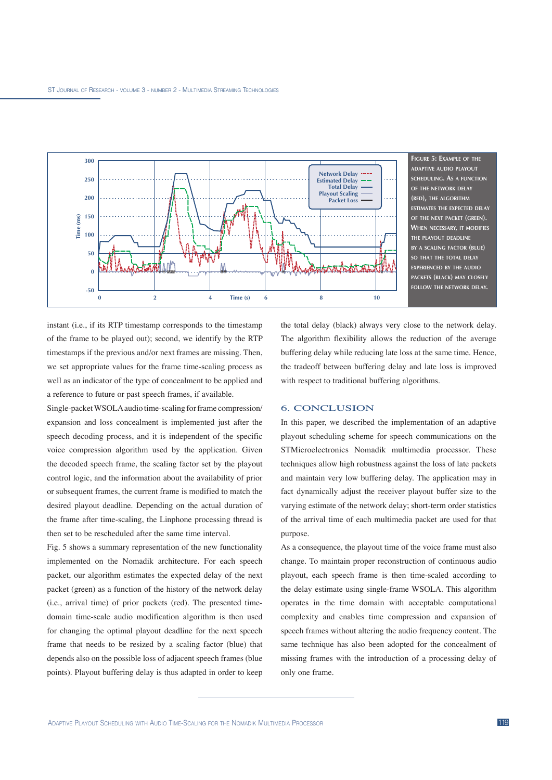

**ADAPTIVE AUDIO PLAYOUT SCHEDULING. AS A FUNCTION OF THE NETWORK DELAY (RED), THE ALGORITHM ESTIMATES THE EXPECTED DELAY OF THE NEXT PACKET (GREEN). WHEN NECESSARY, IT MODIFIES THE PLAYOUT DEADLINE BY A SCALING FACTOR (BLUE) SO THAT THE TOTAL DELAY EXPERIENCED BY THE AUDIO PACKETS (BLACK) MAY CLOSELY**

instant (i.e., if its RTP timestamp corresponds to the timestamp of the frame to be played out); second, we identify by the RTP timestamps if the previous and/or next frames are missing. Then, we set appropriate values for the frame time-scaling process as well as an indicator of the type of concealment to be applied and a reference to future or past speech frames, if available.

Single-packet WSOLA audio time-scaling for frame compression/ expansion and loss concealment is implemented just after the speech decoding process, and it is independent of the specific voice compression algorithm used by the application. Given the decoded speech frame, the scaling factor set by the playout control logic, and the information about the availability of prior or subsequent frames, the current frame is modified to match the desired playout deadline. Depending on the actual duration of the frame after time-scaling, the Linphone processing thread is then set to be rescheduled after the same time interval.

Fig. 5 shows a summary representation of the new functionality implemented on the Nomadik architecture. For each speech packet, our algorithm estimates the expected delay of the next packet (green) as a function of the history of the network delay (i.e., arrival time) of prior packets (red). The presented timedomain time-scale audio modification algorithm is then used for changing the optimal playout deadline for the next speech frame that needs to be resized by a scaling factor (blue) that depends also on the possible loss of adjacent speech frames (blue points). Playout buffering delay is thus adapted in order to keep

the total delay (black) always very close to the network delay. The algorithm flexibility allows the reduction of the average buffering delay while reducing late loss at the same time. Hence, the tradeoff between buffering delay and late loss is improved with respect to traditional buffering algorithms.

#### 6. CONCLUSION

In this paper, we described the implementation of an adaptive playout scheduling scheme for speech communications on the STMicroelectronics Nomadik multimedia processor. These techniques allow high robustness against the loss of late packets and maintain very low buffering delay. The application may in fact dynamically adjust the receiver playout buffer size to the varying estimate of the network delay; short-term order statistics of the arrival time of each multimedia packet are used for that purpose.

As a consequence, the playout time of the voice frame must also change. To maintain proper reconstruction of continuous audio playout, each speech frame is then time-scaled according to the delay estimate using single-frame WSOLA. This algorithm operates in the time domain with acceptable computational complexity and enables time compression and expansion of speech frames without altering the audio frequency content. The same technique has also been adopted for the concealment of missing frames with the introduction of a processing delay of only one frame.